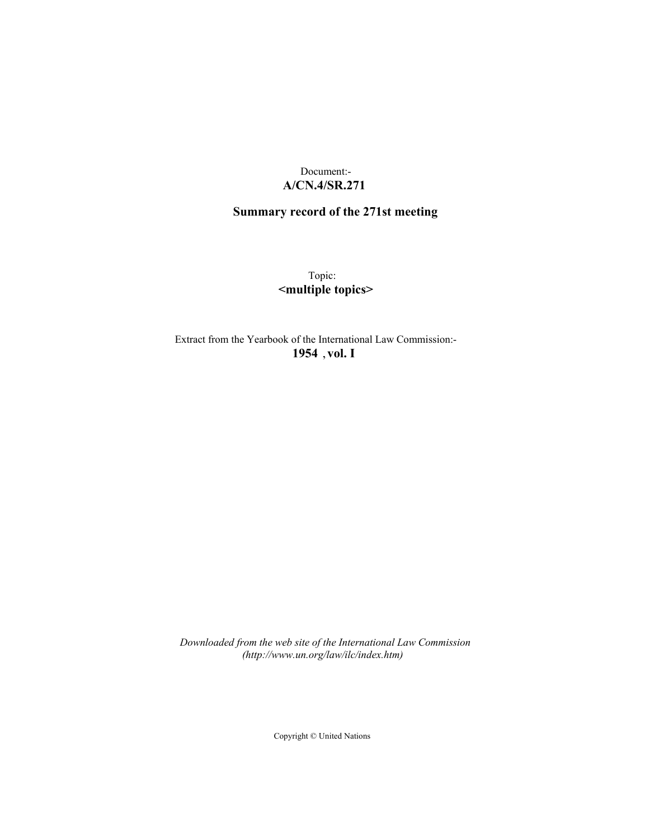## Document:- **A/CN.4/SR.271**

# **Summary record of the 271st meeting**

Topic: **<multiple topics>**

Extract from the Yearbook of the International Law Commission:- **1954** ,**vol. I**

*Downloaded from the web site of the International Law Commission (http://www.un.org/law/ilc/index.htm)*

Copyright © United Nations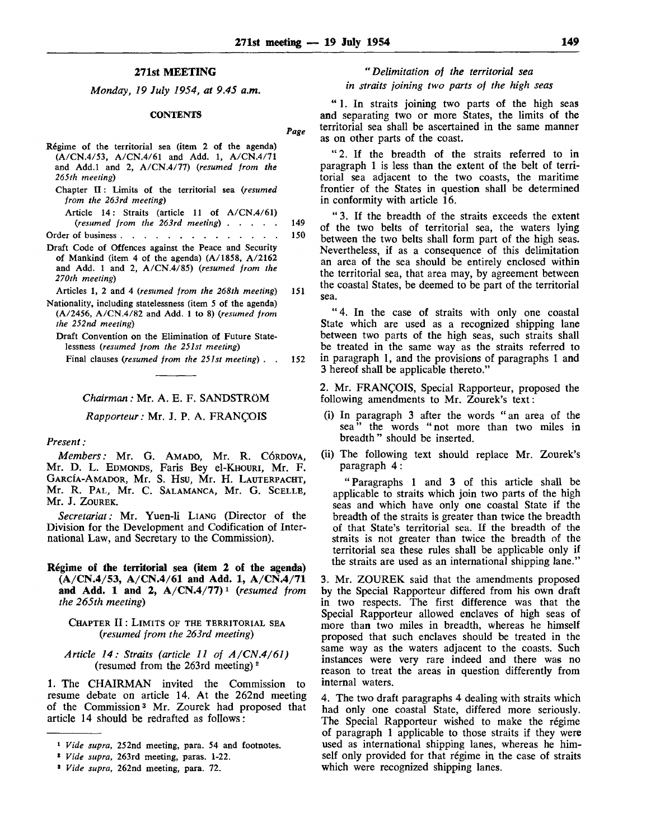## **271st MEETING**

*Monday, 19 July 1954, at 9.45 a.m.*

### **CONTENTS**

| Régime of the territorial sea (item 2 of the agenda)<br>$(A/CN.4/53, A/CN.4/61$ and Add. 1, $A/CN.4/71$<br>and Add.1 and 2, $A/CN.4/77$ (resumed from the<br>265th meeting)          |     |
|--------------------------------------------------------------------------------------------------------------------------------------------------------------------------------------|-----|
| Chapter II: Limits of the territorial sea (resumed<br>from the 263rd meeting)                                                                                                        |     |
| Article 14: Straits (article 11 of $A/CN1/61$ )<br>(resumed from the 263rd meeting) $\ldots$ $\ldots$                                                                                | 149 |
| Order of business.<br>$\sim$<br>$\sim$<br>$\overline{\phantom{a}}$                                                                                                                   | 150 |
| Draft Code of Offences against the Peace and Security<br>of Mankind (item 4 of the agenda) $(A/1858, A/2162)$<br>and Add. 1 and 2, $A/CN.4/85$ ) (resumed from the<br>270th meeting) |     |
| Articles 1, 2 and 4 (resumed from the 268th meeting)                                                                                                                                 | 151 |
| Nationality, including statelessness (item 5 of the agenda)<br>$(A/2456, A/CN.4/82$ and Add. 1 to 8) (resumed from<br>the 252nd meeting)                                             |     |
| Draft Convention on the Elimination of Future State-                                                                                                                                 |     |

lessness *{resumed from the 251st meeting)* Final clauses *{resumed from the 251st meeting) .* . 152

## *Chairman:* Mr. A. E. F. SANDSTROM

*Rapporteur:* Mr. J. P. A. FRANCOIS

## *Present :*

*Members:* Mr. G. AMADO, Mr. R. CORDOVA, Mr. D. L. EDMONDS, Faris Bey el-KHOURi, Mr. F. GARCIA-AMADOR, Mr. S. Hsu, Mr. H. LAUTERPACHT, Mr. R. PAL, Mr. C. SALAMANCA, Mr. G. SCELLE, Mr. J. ZOUREK.

*Secretariat:* Mr. Yuen-li LIANG (Director of the Division for the Development and Codification of International Law, and Secretary to the Commission).

**Regime of the territorial sea (item 2 of the agenda) (A/CN.4/53, A/CN.4/61 and Add. 1, A/CN.4/71 and Add. 1 and 2, A/CN.4/77) <sup>1</sup>**  *(resumed from the 265th meeting)*

## CHAPTER II: LIMITS OF THE TERRITORIAL SEA *(resumed from the 263rd meeting)*

*Article 14: Straits (article 11 of A/CN.4/61)* (resumed from the 263rd meeting)<sup>2</sup>

1. The CHAIRMAN invited the Commission to resume debate on article 14. At the 262nd meeting of the Commission<sup>3</sup> Mr. Zourek had proposed that article 14 should be redrafted as follows:

## *"Delimitation of the territorial sea in straits joining two parts of the high seas*

" 1. In straits joining two parts of the high seas and separating two or more States, the limits of the territorial sea shall be ascertained in the same manner as on other parts of the coast.

" 2 . If the breadth of the straits referred to in paragraph 1 is less than the extent of the belt of territorial sea adjacent to the two coasts, the maritime frontier of the States in question shall be determined in conformity with article 16.

" 3. If the breadth of the straits exceeds the extent of the two belts of territorial sea, the waters lying between the two belts shall form part of the high seas. Nevertheless, if as a consequence of this delimitation an area of the sea should be entirely enclosed within the territorial sea, that area may, by agreement between the coastal States, be deemed to be part of the territorial sea.

" 4. In the case of straits with only one coastal State which are used as a recognized shipping lane between two parts of the high seas, such straits shall be treated in the same way as the straits referred to in paragraph 1, and the provisions of paragraphs 1 and 3 hereof shall be applicable thereto."

2. Mr. FRANCOIS, Special Rapporteur, proposed the following amendments to Mr. Zourek's text:

- (i) In paragraph 3 after the words "an area of the sea" the words "not more than two miles in breadth" should be inserted.
- (ii) The following text should replace Mr. Zourek's paragraph 4 :

"Paragraphs 1 and 3 of this article shall be applicable to straits which join two parts of the high seas and which have only one coastal State if the breadth of the straits is greater than twice the breadth of that State's territorial sea. If the breadth of the straits is not greater than twice the breadth of the territorial sea these rules shall be applicable only if the straits are used as an international shipping lane."

3. Mr. ZOUREK said that the amendments proposed by the Special Rapporteur differed from his own draft in two respects. The first difference was that the Special Rapporteur allowed enclaves of high seas of more than two miles in breadth, whereas he himself proposed that such enclaves should be treated in the same way as the waters adjacent to the coasts. Such instances were very rare indeed and there was no reason to treat the areas in question differently from internal waters.

4. The two draft paragraphs 4 dealing with straits which had only one coastal State, differed more seriously. The Special Rapporteur wished to make the régime of paragraph 1 applicable to those straits if they were used as international shipping lanes, whereas he himself only provided for that régime in the case of straits which were recognized shipping lanes.

<sup>1</sup>  *Vide supra,* 252nd meeting, para. 54 and footnotes.

<sup>2</sup>  *Vide supra,* 263rd meeting, paras. 1-22.

<sup>3</sup>  *Vide supra,* 262nd meeting, para. 72.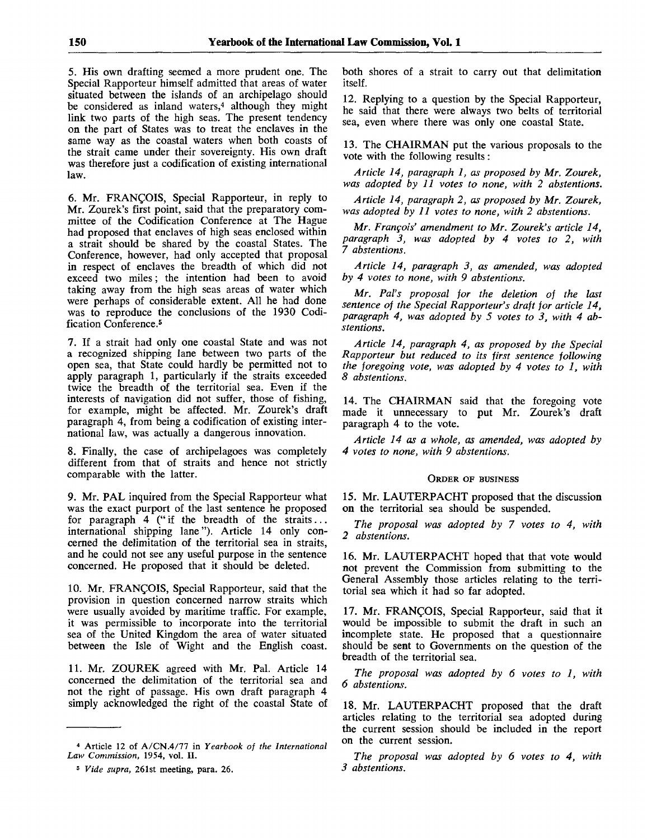5. His own drafting seemed a more prudent one. The Special Rapporteur himself admitted that areas of water situated between the islands of an archipelago should be considered as inland waters,<sup>4</sup> although they might link two parts of the high seas. The present tendency on the part of States was to treat the enclaves in the same way as the coastal waters when both coasts of the strait came under their sovereignty. His own draft was therefore just a codification of existing international law.

6. Mr. FRANCOIS, Special Rapporteur, in reply to Mr. Zourek's first point, said that the preparatory committee of the Codification Conference at The Hague had proposed that enclaves of high seas enclosed within a strait should be shared by the coastal States. The Conference, however, had only accepted that proposal in respect of enclaves the breadth of which did not exceed two miles; the intention had been to avoid taking away from the high seas areas of water which were perhaps of considerable extent. All he had done was to reproduce the conclusions of the 1930 Codification Conference.<sup>5</sup>

7. If a strait had only one coastal State and was not a recognized shipping lane between two parts of the open sea, that State could hardly be permitted not to apply paragraph 1, particularly if the straits exceeded twice the breadth of the territorial sea. Even if the interests of navigation did not suffer, those of fishing, for example, might be affected. Mr. Zourek's draft paragraph 4, from being a codification of existing international law, was actually a dangerous innovation.

8. Finally, the case of archipelagoes was completely different from that of straits and hence not strictly comparable with the latter.

9. Mr. PAL inquired from the Special Rapporteur what was the exact purport of the last sentence he proposed for paragraph  $4$  ("if the breadth of the straits... international shipping lane"). Article 14 only concerned the delimitation of the territorial sea in straits, and he could not see any useful purpose in the sentence concerned. He proposed that it should be deleted.

10. Mr. FRANCOIS, Special Rapporteur, said that the provision in question concerned narrow straits which were usually avoided by maritime traffic. For example, it was permissible to incorporate into the territorial sea of the United Kingdom the area of water situated between the Isle of Wight and the English coast.

11. Mr. ZOUREK agreed with Mr. Pal. Article 14 concerned the delimitation of the territorial sea and not the right of passage. His own draft paragraph 4 simply acknowledged the right of the coastal State of both shores of a strait to carry out that delimitation itself.

12. Replying to a question by the Special Rapporteur, he said that there were always two belts of territorial sea, even where there was only one coastal State.

13. The CHAIRMAN put the various proposals to the vote with the following results:

*Article 14, paragraph 1, as proposed by Mr. Zourek, was adopted by 11 votes to none, with 2 abstentions.*

*Article 14, paragraph 2, as proposed by Mr. Zourek, was adopted by 11 votes to none, with 2 abstentions.*

*Mr. Francois' amendment to Mr. Zourek's article 14, paragraph 3, was adopted by 4 votes to 2, with 7 abstentions.*

*Article 14, paragraph 3, as amended, was adopted by 4 votes to none, with 9 abstentions.*

*Mr. Pal's proposal for the deletion of the last sentence of the Special Rapporteur's draft for article 14, paragraph 4, was adopted by 5 votes to 3, with 4 abstentions.*

*Article 14, paragraph 4, as proposed by the Special Rapporteur but reduced to its first sentence following the foregoing vote, was adopted by 4 votes to 1, with 8 abstentions.*

14. The CHAIRMAN said that the foregoing vote made it unnecessary to put Mr. Zourek's draft paragraph 4 to the vote.

*Article 14 as a whole, as amended, was adopted by 4 votes to none, with 9 abstentions.*

## ORDER OF BUSINESS

15. Mr. LAUTERPACHT proposed that the discussion on the territorial sea should be suspended.

*The proposal was adopted by 7 votes to 4, with 2 abstentions.*

16. Mr. LAUTERPACHT hoped that that vote would not prevent the Commission from submitting to the General Assembly those articles relating to the territorial sea which it had so far adopted.

17. Mr. FRANCOIS, Special Rapporteur, said that it would be impossible to submit the draft in such an incomplete state. He proposed that a questionnaire should be sent to Governments on the question of the breadth of the territorial sea.

*The proposal was adopted by 6 votes to 1, with 6 abstentions.*

18. Mr. LAUTERPACHT proposed that the draft articles relating to the territorial sea adopted during the current session should be included in the report on the current session.

*The proposal was adopted by 6 votes to 4, with 3 abstentions.*

<sup>4</sup> Article 12 of A/CN.4/77 in *Yearbook of the International Law Commission,* 1954, vol. II.

<sup>5</sup>  *Vide supra,* 261st meeting, para. 26.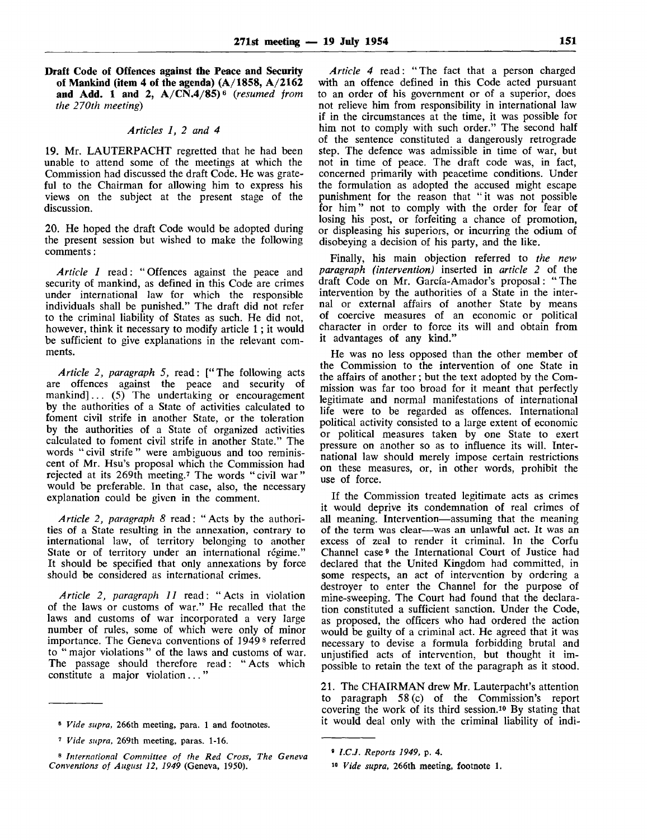**Draft Code of Offences against the Peace and Security of Mankind (item 4 of the agenda) (A/1858, A/2162 and Add. 1 and 2, A/CN.4/85)e** *(resumed from the 270th meeting)*

## *Articles 1, 2 and 4*

19. Mr. LAUTERPACHT regretted that he had been unable to attend some of the meetings at which the Commission had discussed the draft Code. He was grateful to the Chairman for allowing him to express his views on the subject at the present stage of the discussion.

20. He hoped the draft Code would be adopted during the present session but wished to make the following comments:

*Article 1* read: "Offences against the peace and security of mankind, as defined in this Code are crimes under international law for which the responsible individuals shall be punished." The draft did not refer to the criminal liability of States as such. He did not, however, think it necessary to modify article 1 ; it would be sufficient to give explanations in the relevant comments.

*Article 2, paragraph 5,* read: ["The following acts are offences against the peace and security of mankind]... (5) The undertaking or encouragement by the authorities of a State of activities calculated to foment civil strife in another State, or the toleration by the authorities of a State of organized activities calculated to foment civil strife in another State." The words " civil strife " were ambiguous and too reminiscent of Mr. Hsu's proposal which the Commission had rejected at its 269th meeting.<sup>7</sup> The words "civil war" would be preferable. In that case, also, the necessary explanation could be given in the comment.

*Article 2, paragraph 8* read: "Acts by the authorities of a State resulting in the annexation, contrary to international law, of territory belonging to another State or of territory under an international régime." It should be specified that only annexations by force should be considered as international crimes.

*Article 2, paragraph 11* read: "Acts in violation of the laws or customs of war." He recalled that the laws and customs of war incorporated a very large number of rules, some of which were only of minor importance. The Geneva conventions of 1949<sup>8</sup> referred to " major violations" of the laws and customs of war. The passage should therefore read: " Acts which constitute a major violation..."

*Article 4* read: "The fact that a person charged with an offence defined in this Code acted pursuant to an order of his government or of a superior, does not relieve him from responsibility in international law if in the circumstances at the time, it was possible for him not to comply with such order." The second half of the sentence constituted a dangerously retrograde step. The defence was admissible in time of war, but not in time of peace. The draft code was, in fact, concerned primarily with peacetime conditions. Under the formulation as adopted the accused might escape punishment for the reason that "it was not possible for him" not to comply with the order for fear of losing his post, or forfeiting a chance of promotion, or displeasing his superiors, or incurring the odium of disobeying a decision of his party, and the like.

Finally, his main objection referred to *the new paragraph (intervention)* inserted in *article 2* of the draft Code on Mr. Garcia-Amador's proposal: " The intervention by the authorities of a State in the internal or external affairs of another State by means of coercive measures of an economic or political character in order to force its will and obtain from it advantages of any kind."

He was no less opposed than the other member of the Commission to the intervention of one State in the affairs of another; but the text adopted by the Commission was far too broad for it meant that perfectly legitimate and normal manifestations of international life were to be regarded as offences. International political activity consisted to a large extent of economic or political measures taken by one State to exert pressure on another so as to influence its will. International law should merely impose certain restrictions on these measures, or, in other words, prohibit the use of force.

If the Commission treated legitimate acts as crimes it would deprive its condemnation of real crimes of all meaning. Intervention—assuming that the meaning of the term was clear—was an unlawful act. It was an excess of zeal to render it criminal. In the Corfu Channel case<sup>9</sup> the International Court of Justice had declared that the United Kingdom had committed, in some respects, an act of intervention by ordering a destroyer to enter the Channel for the purpose of mine-sweeping. The Court had found that the declaration constituted a sufficient sanction. Under the Code, as proposed, the officers who had ordered the action would be guilty of a criminal act. He agreed that it was necessary to devise a formula forbidding brutal and unjustified acts of intervention, but thought it impossible to retain the text of the paragraph as it stood.

21. The CHAIRMAN drew Mr. Lauterpacht's attention to paragraph 58 (c) of the Commission's report covering the work of its third session.<sup>10</sup> By stating that it would deal only with the criminal liability of indi-

<sup>6</sup>  *Vide supra,* 266th meeting, para. 1 and footnotes.

<sup>7</sup>  *Vide supra,* 269th meeting, paras. 1-16.

<sup>8</sup>  *International Committee of the Red Cross, The Geneva Conventions of August 12, 1949* (Geneva, 1950).

<sup>»</sup> *I.C.J. Reports 1949,* p. 4.

<sup>10</sup>  *Vide supra,* 266th meeting, footnote 1.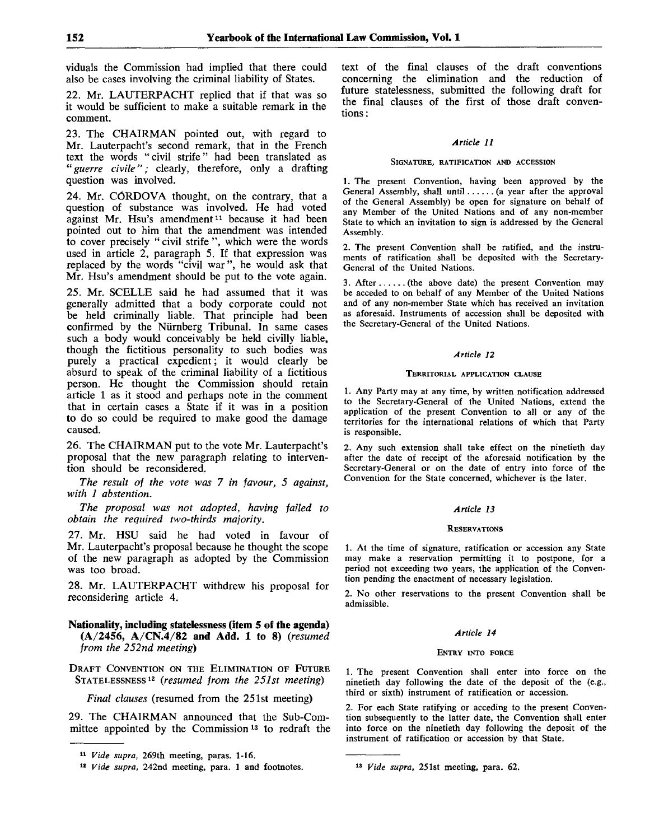viduals the Commission had implied that there could also be cases involving the criminal liability of States.

22. Mr. LAUTERPACHT replied that if that was so it would be sufficient to make a suitable remark in the comment.

23. The CHAIRMAN pointed out, with regard to Mr. Lauterpacht's second remark, that in the French text the words " civil strife" had been translated as *"guerre civile";* clearly, therefore, only a drafting question was involved.

24. Mr. CORDOVA thought, on the contrary, that a question of substance was involved. He had voted against Mr. Hsu's amendment<sup>11</sup> because it had been pointed out to him that the amendment was intended to cover precisely " civil strife ", which were the words used in article 2, paragraph 5. If that expression was replaced by the words "civil war", he would ask that Mr. Hsu's amendment should be put to the vote again.

25. Mr. SCELLE said he had assumed that it was generally admitted that a body corporate could not be held criminally liable. That principle had been confirmed by the Nürnberg Tribunal. In same cases such a body would conceivably be held civilly liable, though the fictitious personality to such bodies was purely a practical expedient; it would clearly be absurd to speak of the criminal liability of a fictitious person. He thought the Commission should retain article 1 as it stood and perhaps note in the comment that in certain cases a State if it was in a position to do so could be required to make good the damage caused.

26. The CHAIRMAN put to the vote Mr. Lauterpacht's proposal that the new paragraph relating to intervention should be reconsidered.

*The result of the vote was* 7 *in favour, 5 against, with 1 abstention.*

*The proposal was not adopted, having failed to obtain the required two-thirds majority.*

27. Mr. HSU said he had voted in favour of Mr. Lauterpacht's proposal because he thought the scope of the new paragraph as adopted by the Commission was too broad.

28. Mr. LAUTERPACHT withdrew his proposal for reconsidering article 4.

**Nationality, including statelessness (item 5 of the agenda) (A/2456, A/CN.4/82 and Add. 1 to 8)** *(resumed from the 252nd meeting)*

DRAFT CONVENTION ON THE ELIMINATION OF FUTURE STATELESSNESS<sup>12</sup>  *(resumed from the 251st meeting)*

*Final clauses* (resumed from the 251st meeting)

29. The CHAIRMAN announced that the Sub-Committee appointed by the Commission<sup>13</sup> to redraft the text of the final clauses of the draft conventions concerning the elimination and the reduction of future statelessness, submitted the following draft for the final clauses of the first of those draft conventions :

## *Article 11*

#### SIGNATURE, RATIFICATION AND ACCESSION

1. The present Convention, having been approved by the General Assembly, shall until ...... (a year after the approval of the General Assembly) be open for signature on behalf of any Member of the United Nations and of any non-member State to which an invitation to sign is addressed by the General Assembly.

2. The present Convention shall be ratified, and the instruments of ratification shall be deposited with the Secretary-General of the United Nations.

3. After  $\dots$  (the above date) the present Convention may be acceded to on behalf of any Member of the United Nations and of any non-member State which has received an invitation as aforesaid. Instruments of accession shall be deposited with the Secretary-General of the United Nations.

### *Article 12*

#### TERRITORIAL APPLICATION CLAUSE

1. Any Party may at any time, by written notification addressed to the Secretary-General of the United Nations, extend the application of the present Convention to all or any of the territories for the international relations of which that Party is responsible.

2. Any such extension shall take effect on the ninetieth day after the date of receipt of the aforesaid notification by the Secretary-General or on the date of entry into force of the Convention for the State concerned, whichever is the later.

#### *Article 13*

#### **RESERVATIONS**

1. At the time of signature, ratification or accession any State may make a reservation permitting it to postpone, for a period not exceeding two years, the application of the Convention pending the enactment of necessary legislation.

2. No other reservations to the present Convention shall be admissible.

#### *Article 14*

#### ENTRY INTO FORCE

1. The present Convention shall enter into force on the ninetieth day following the date of the deposit of the (e.g., third or sixth) instrument of ratification or accession.

2. For each State ratifying or acceding to the present Convention subsequently to the latter date, the Convention shall enter into force on the ninetieth day following the deposit of the instrument of ratification or accession by that State.

<sup>11</sup>  *Vide supra,* 269th meeting, paras. 1-16.

<sup>12</sup>  *Vide supra,* 242nd meeting, para. 1 and footnotes.

<sup>13</sup>  *Vide supra,* 251st meeting, para. 62.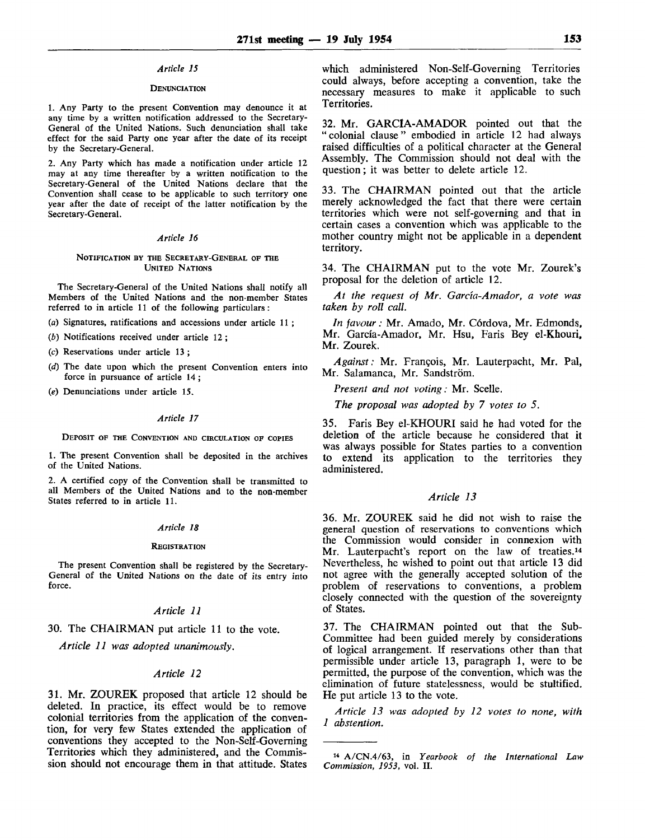### *Article 15*

## **DENUNCIATION**

1. Any Party to the present Convention may denounce it at any time by a written notification addressed to the Secretary-General of the United Nations. Such denunciation shall take effect for the said Party one year after the date of its receipt by the Secretary-General.

2. Any Party which has made a notification under article 12 may at any time thereafter by a written notification to the Secretary-General of the United Nations declare that the Convention shall cease to be applicable to such territory one year after the date of receipt of the latter notification by the Secretary-General.

#### *Article 16*

#### NOTIFICATION BY THE SECRETARY-GENERAL OF THE UNITED NATIONS

The Secretary-General of the United Nations shall notify all Members of the United Nations and the non-member States referred to in article 11 of the following particulars :

(a) Signatures, ratifications and accessions under article 11 ;

*(b)* Notifications received under article 12 ;

(c) Reservations under article 13 ;

- *{d)* The date upon which the present Convention enters into force in pursuance of article 14;
- *(e)* Denunciations under article 15.

#### *Article 17*

#### DEPOSIT OF THE CONVENTION AND CIRCULATION OF COPIES

1. The present Convention shall be deposited in the archives of the United Nations.

2. A certified copy of the Convention shall be transmitted to all Members of the United Nations and to the non-member States referred to in article 11.

#### *Article 18*

#### **REGISTRATION**

The present Convention shall be registered by the Secretary-General of the United Nations on the date of its entry into force.

### *Article 11*

30. The CHAIRMAN put article 11 to the vote.

*Article 11 was adopted unanimously.*

## *Article 12*

31. Mr. ZOUREK proposed that article 12 should be deleted. In practice, its effect would be to remove colonial territories from the application of the convention, for very few States extended the application of conventions they accepted to the Non-Self-Governing Territories which they administered, and the Commission should not encourage them in that attitude. States which administered Non-Self-Governing Territories could always, before accepting a convention, take the necessary measures to make it applicable to such Territories.

32. Mr. GARC1A-AMADOR pointed out that the "colonial clause" embodied in article 12 had always raised difficulties of a political character at the General Assembly. The Commission should not deal with the question; it was better to delete article 12.

33. The CHAIRMAN pointed out that the article merely acknowledged the fact that there were certain territories which were not self-governing and that in certain cases a convention which was applicable to the mother country might not be applicable in a dependent territory.

34. The CHAIRMAN put to the vote Mr. Zourek's proposal for the deletion of article 12.

*At the request of Mr. Garcia-Amador, a vote was taken by roll call.*

*In favour:* Mr. Amado, Mr. Córdova, Mr. Edmonds, Mr. Garcia-Amador, Mr. Hsu, Faris Bey el-Khouri, Mr. Zourek.

*Against:* Mr. Frangois, Mr. Lauterpacht, Mr. Pal, Mr. Salamanca, Mr. Sandström.

*Present and not voting:* Mr. Scelle.

*The proposal was adopted by 7 votes to 5.*

35. Faris Bey el-KHOURI said he had voted for the deletion of the article because he considered that it was always possible for States parties to a convention to extend its application to the territories they administered.

## *Article 13*

36. Mr. ZOUREK said he did not wish to raise the general question of reservations to conventions which the Commission would consider in connexion with Mr. Lauterpacht's report on the law of treaties.<sup>14</sup> Nevertheless, he wished to point out that article 13 did not agree with the generally accepted solution of the problem of reservations to conventions, a problem closely connected with the question of the sovereignty of States.

37. The CHAIRMAN pointed out that the Sub-Committee had been guided merely by considerations of logical arrangement. If reservations other than that permissible under article 13, paragraph 1, were to be permitted, the purpose of the convention, which was the elimination of future statelessness, would be stultified. He put article 13 to the vote.

*Article 13 was adopted by 12 votes to none, with 1 abstention.*

<sup>14</sup> A/CN.4/63, in *Yearbook of the International Law Commission, 1953,* vol. II.